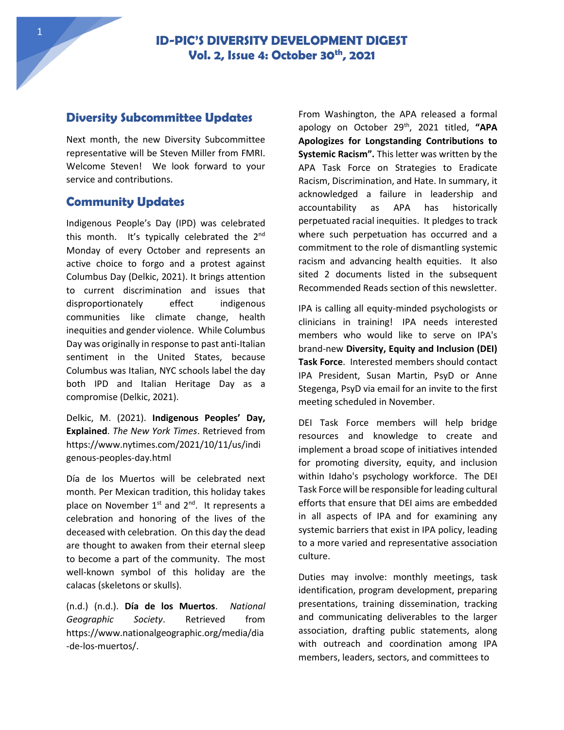1

### **Diversity Subcommittee Updates**

Next month, the new Diversity Subcommittee representative will be Steven Miller from FMRI. Welcome Steven! We look forward to your service and contributions.

## **Community Updates**

Indigenous People's Day (IPD) was celebrated this month. It's typically celebrated the 2<sup>nd</sup> Monday of every October and represents an active choice to forgo and a protest against Columbus Day (Delkic, 2021). It brings attention to current discrimination and issues that disproportionately effect indigenous communities like climate change, health inequities and gender violence. While Columbus Day was originally in response to past anti-Italian sentiment in the United States, because Columbus was Italian, NYC schools label the day both IPD and Italian Heritage Day as a compromise (Delkic, 2021).

Delkic, M. (2021). **Indigenous Peoples' Day, Explained**. *The New York Times*. Retrieved from https://www.nytimes.com/2021/10/11/us/indi genous-peoples-day.html

Día de los Muertos will be celebrated next month. Per Mexican tradition, this holiday takes place on November  $1^{st}$  and  $2^{nd}$ . It represents a celebration and honoring of the lives of the deceased with celebration. On this day the dead are thought to awaken from their eternal sleep to become a part of the community. The most well-known symbol of this holiday are the calacas (skeletons or skulls).

(n.d.) (n.d.). **Día de los Muertos**. *National Geographic Society*. Retrieved from https://www.nationalgeographic.org/media/dia -de-los-muertos/.

From Washington, the APA released a formal apology on October 29th, 2021 titled, **"APA Apologizes for Longstanding Contributions to Systemic Racism".** This letter was written by the APA Task Force on Strategies to Eradicate Racism, Discrimination, and Hate. In summary, it acknowledged a failure in leadership and accountability as APA has historically perpetuated racial inequities. It pledges to track where such perpetuation has occurred and a commitment to the role of dismantling systemic racism and advancing health equities. It also sited 2 documents listed in the subsequent Recommended Reads section of this newsletter.

IPA is calling all equity-minded psychologists or clinicians in training! IPA needs interested members who would like to serve on IPA's brand-new **Diversity, Equity and Inclusion (DEI) Task Force**. Interested members should contact IPA President, Susan Martin, PsyD or Anne Stegenga, PsyD via email for an invite to the first meeting scheduled in November.

DEI Task Force members will help bridge resources and knowledge to create and implement a broad scope of initiatives intended for promoting diversity, equity, and inclusion within Idaho's psychology workforce. The DEI Task Force will be responsible for leading cultural efforts that ensure that DEI aims are embedded in all aspects of IPA and for examining any systemic barriers that exist in IPA policy, leading to a more varied and representative association culture.

Duties may involve: monthly meetings, task identification, program development, preparing presentations, training dissemination, tracking and communicating deliverables to the larger association, drafting public statements, along with outreach and coordination among IPA members, leaders, sectors, and committees to